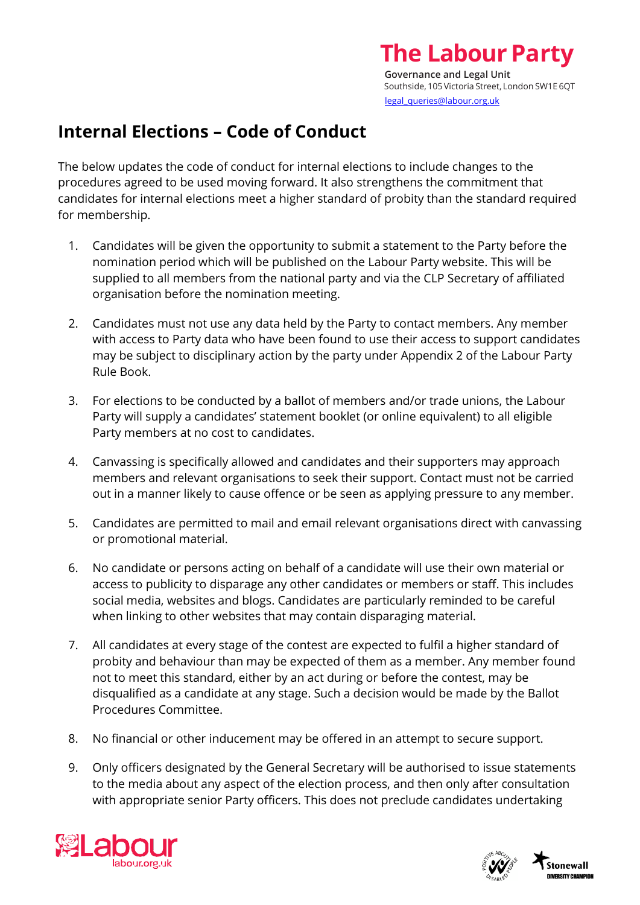## **Internal Elections – Code of Conduct**

The below updates the code of conduct for internal elections to include changes to the procedures agreed to be used moving forward. It also strengthens the commitment that candidates for internal elections meet a higher standard of probity than the standard required for membership.

- 1. Candidates will be given the opportunity to submit a statement to the Party before the nomination period which will be published on the Labour Party website. This will be supplied to all members from the national party and via the CLP Secretary of affiliated organisation before the nomination meeting.
- 2. Candidates must not use any data held by the Party to contact members. Any member with access to Party data who have been found to use their access to support candidates may be subject to disciplinary action by the party under Appendix 2 of the Labour Party Rule Book.
- 3. For elections to be conducted by a ballot of members and/or trade unions, the Labour Party will supply a candidates' statement booklet (or online equivalent) to all eligible Party members at no cost to candidates.
- 4. Canvassing is specifically allowed and candidates and their supporters may approach members and relevant organisations to seek their support. Contact must not be carried out in a manner likely to cause offence or be seen as applying pressure to any member.
- 5. Candidates are permitted to mail and email relevant organisations direct with canvassing or promotional material.
- 6. No candidate or persons acting on behalf of a candidate will use their own material or access to publicity to disparage any other candidates or members or staff. This includes social media, websites and blogs. Candidates are particularly reminded to be careful when linking to other websites that may contain disparaging material.
- 7. All candidates at every stage of the contest are expected to fulfil a higher standard of probity and behaviour than may be expected of them as a member. Any member found not to meet this standard, either by an act during or before the contest, may be disqualified as a candidate at any stage. Such a decision would be made by the Ballot Procedures Committee.
- 8. No financial or other inducement may be offered in an attempt to secure support.
- 9. Only officers designated by the General Secretary will be authorised to issue statements to the media about any aspect of the election process, and then only after consultation with appropriate senior Party officers. This does not preclude candidates undertaking